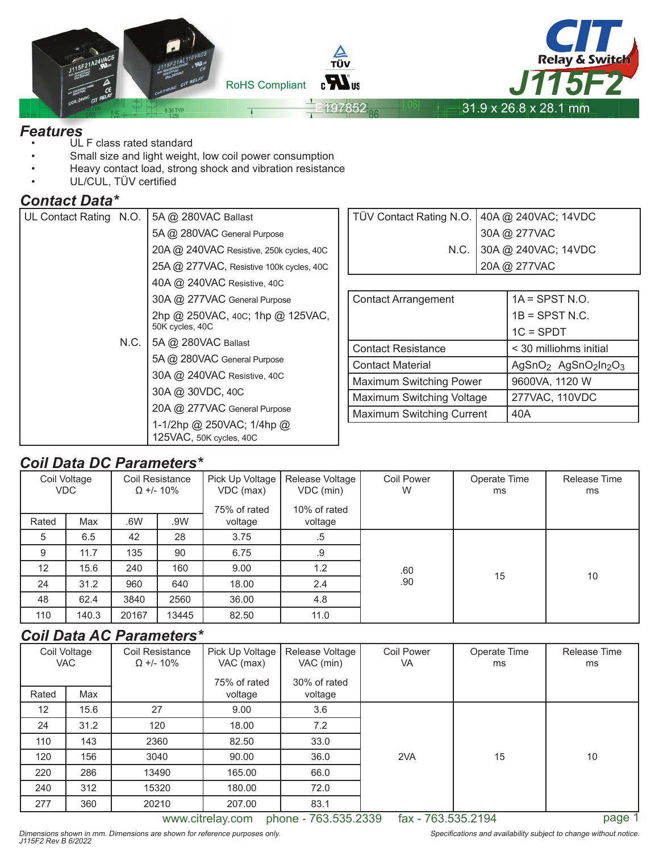

- UL F class rated standard
- Small size and light weight, low coil power consumption
- Heavy contact load, strong shock and vibration resistance
- UL/CUL, TÜV certified

### *Contact Data\**

| UL Contact Rating N.O. |      | 5A @ 280VAC Ballast                                 |  |  |  |
|------------------------|------|-----------------------------------------------------|--|--|--|
|                        |      | 5A @ 280VAC General Purpose                         |  |  |  |
|                        |      | 20A @ 240VAC Resistive, 250k cycles, 40C            |  |  |  |
|                        |      | 25A @ 277VAC, Resistive 100k cycles, 40C            |  |  |  |
|                        |      | 40A @ 240VAC Resistive, 40C                         |  |  |  |
|                        |      | 30A @ 277VAC General Purpose                        |  |  |  |
|                        |      | 2hp @ 250VAC, 40C; 1hp @ 125VAC,<br>50K cycles, 40C |  |  |  |
|                        | N.C. | 5A @ 280VAC Ballast                                 |  |  |  |
|                        |      | 5A @ 280VAC General Purpose                         |  |  |  |
|                        |      | 30A @ 240VAC Resistive, 40C                         |  |  |  |
|                        |      | 30A @ 30VDC, 40C                                    |  |  |  |
|                        |      | 20A @ 277VAC General Purpose                        |  |  |  |
|                        |      | 1-1/2hp @ 250VAC; 1/4hp @                           |  |  |  |
|                        |      | 125VAC, 50K cycles, 40C                             |  |  |  |

| TÜV Contact Rating N.O. 40A @ 240VAC; 14VDC<br>30A @ 277VAC<br>N.C. 30A @ 240VAC; 14VDC<br>20A @ 277VAC |  |
|---------------------------------------------------------------------------------------------------------|--|
|                                                                                                         |  |
|                                                                                                         |  |
|                                                                                                         |  |
|                                                                                                         |  |

| <b>Contact Arrangement</b>       | $1A =$ SPST N.O.                                                     |  |  |  |
|----------------------------------|----------------------------------------------------------------------|--|--|--|
|                                  | $1B =$ SPST N.C.                                                     |  |  |  |
|                                  | $1C = SPDT$                                                          |  |  |  |
| <b>Contact Resistance</b>        | < 30 milliohms initial                                               |  |  |  |
| <b>Contact Material</b>          | AgSnO <sub>2</sub> AgSnO <sub>2</sub> ln <sub>2</sub> O <sub>3</sub> |  |  |  |
| Maximum Switching Power          | 9600VA, 1120 W                                                       |  |  |  |
| Maximum Switching Voltage        | 277VAC, 110VDC                                                       |  |  |  |
| <b>Maximum Switching Current</b> | 40A                                                                  |  |  |  |

# *Coil Data DC Parameters\**

|       |                                                                   |       | -----------                                    |                                              |                        |                    |                    |    |
|-------|-------------------------------------------------------------------|-------|------------------------------------------------|----------------------------------------------|------------------------|--------------------|--------------------|----|
|       | Coil Voltage<br>Coil Resistance<br><b>VDC</b><br>$\Omega$ +/- 10% |       | Pick Up Voltage  <br>VDC (max)<br>75% of rated | Release Voltage<br>VDC (min)<br>10% of rated | <b>Coil Power</b><br>W | Operate Time<br>ms | Release Time<br>ms |    |
| Rated | Max                                                               | .6W   | .9W                                            | voltage                                      | voltage                |                    |                    |    |
| 5     | 6.5                                                               | 42    | 28                                             | 3.75                                         | $.5\,$                 |                    |                    |    |
| 9     | 11.7                                                              | 135   | 90                                             | 6.75                                         | .9                     |                    |                    |    |
| 12    | 15.6                                                              | 240   | 160                                            | 9.00                                         | 1.2                    | .60                | 15                 | 10 |
| 24    | 31.2                                                              | 960   | 640                                            | 18.00                                        | 2.4                    | .90                |                    |    |
| 48    | 62.4                                                              | 3840  | 2560                                           | 36.00                                        | 4.8                    |                    |                    |    |
| 110   | 140.3                                                             | 20167 | 13445                                          | 82.50                                        | 11.0                   |                    |                    |    |

# *Coil Data AC Parameters\**

| Coil Voltage<br><b>VAC</b> |      | Coil Resistance<br>$\Omega$ +/- 10% | Pick Up Voltage<br>VAC (max) | Release Voltage<br><b>Coil Power</b><br>VAC (min)<br><b>VA</b> |     | Operate Time<br>ms | Release Time<br>ms |
|----------------------------|------|-------------------------------------|------------------------------|----------------------------------------------------------------|-----|--------------------|--------------------|
| Rated                      | Max  |                                     | 75% of rated<br>voltage      | 30% of rated<br>voltage                                        |     |                    |                    |
| $12 \overline{ }$          | 15.6 | 27                                  | 9.00                         | 3.6                                                            |     |                    |                    |
| 24                         | 31.2 | 120                                 | 18.00                        | 7.2                                                            |     |                    |                    |
| 110                        | 143  | 2360                                | 82.50                        | 33.0                                                           |     |                    |                    |
| 120                        | 156  | 3040                                | 90.00                        | 36.0                                                           | 2VA | 15                 | 10                 |
| 220                        | 286  | 13490                               | 165.00                       | 66.0                                                           |     |                    |                    |
| 240                        | 312  | 15320                               | 180.00                       | 72.0                                                           |     |                    |                    |
| 277                        | 360  | 20210                               | 207.00                       | 83.1                                                           |     |                    |                    |

www.citrelay.com phone - 763.535.2339 fax - 763.535.2194 page 1

Specifications and availability subject to change without notice.

Dimensions shown in mm. Dimensions are shown for reference purposes only. J115F2 Rev B 6/2022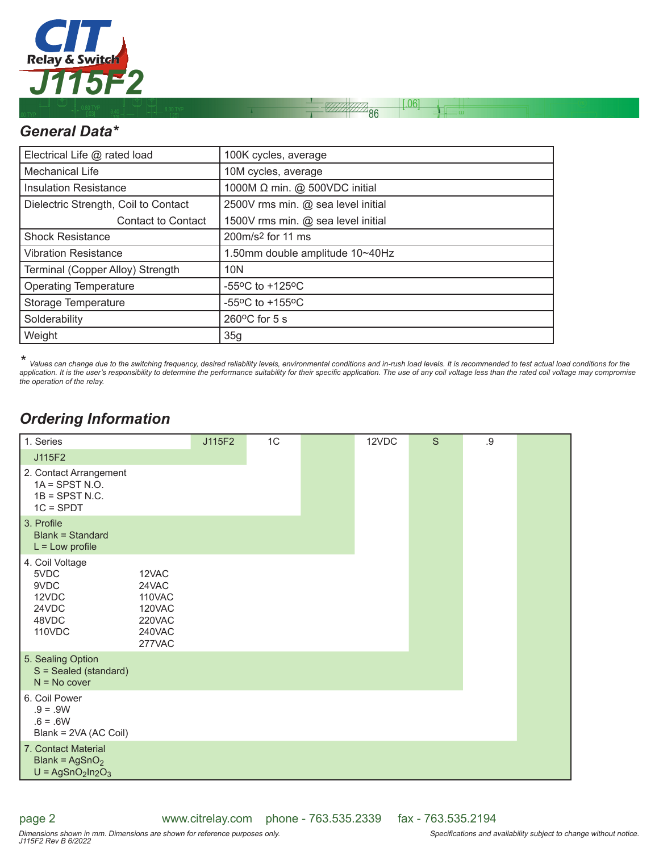

# *General Data\**

| Electrical Life @ rated load         | 100K cycles, average                                  |
|--------------------------------------|-------------------------------------------------------|
| <b>Mechanical Life</b>               | 10M cycles, average                                   |
| <b>Insulation Resistance</b>         | 1000M $\Omega$ min. @ 500VDC initial                  |
| Dielectric Strength, Coil to Contact | 2500V rms min. @ sea level initial                    |
| <b>Contact to Contact</b>            | 1500V rms min. @ sea level initial                    |
| <b>Shock Resistance</b>              | 200m/s <sup>2</sup> for 11 ms                         |
| <b>Vibration Resistance</b>          | 1.50mm double amplitude 10~40Hz                       |
| Terminal (Copper Alloy) Strength     | 10N                                                   |
| <b>Operating Temperature</b>         | -55 $\mathrm{^{\circ}C}$ to +125 $\mathrm{^{\circ}C}$ |
| Storage Temperature                  | $-55^{\circ}$ C to $+155^{\circ}$ C                   |
| Solderability                        | $260^{\circ}$ C for 5 s                               |
| Weight                               | 35g                                                   |

*\* Values can change due to the switching frequency, desired reliability levels, environmental conditions and in-rush load levels. It is recommended to test actual load conditions for the*  application. It is the user's responsibility to determine the performance suitability for their specific application. The use of any coil voltage less than the rated coil voltage may compromise *the operation of the relay.*

 $0.06$ 

 $\overline{86}$ 

# *Ordering Information*

| 1. Series                                                                     |                                                                  | J115F2 | 1C | 12VDC | S | .9 |  |
|-------------------------------------------------------------------------------|------------------------------------------------------------------|--------|----|-------|---|----|--|
|                                                                               |                                                                  |        |    |       |   |    |  |
| J115F2                                                                        |                                                                  |        |    |       |   |    |  |
| 2. Contact Arrangement<br>$1A =$ SPST N.O.<br>$1B =$ SPST N.C.<br>$1C = SPDT$ |                                                                  |        |    |       |   |    |  |
| 3. Profile<br><b>Blank = Standard</b><br>$L = Low$ profile                    |                                                                  |        |    |       |   |    |  |
| 4. Coil Voltage<br>5VDC<br>9VDC<br>12VDC<br>24VDC<br>48VDC<br>110VDC          | 12VAC<br>24VAC<br>110VAC<br>120VAC<br>220VAC<br>240VAC<br>277VAC |        |    |       |   |    |  |
| 5. Sealing Option<br>S = Sealed (standard)<br>$N = No cover$                  |                                                                  |        |    |       |   |    |  |
| 6. Coil Power<br>$.9 = .9W$<br>$.6 = .6W$<br>Blank = 2VA (AC Coil)            |                                                                  |        |    |       |   |    |  |
| 7. Contact Material<br>Blank = $AgSnO2$<br>$U = AgSnO2ln2O3$                  |                                                                  |        |    |       |   |    |  |

page 2

www.citrelay.com phone - 763.535.2339 fax - 763.535.2194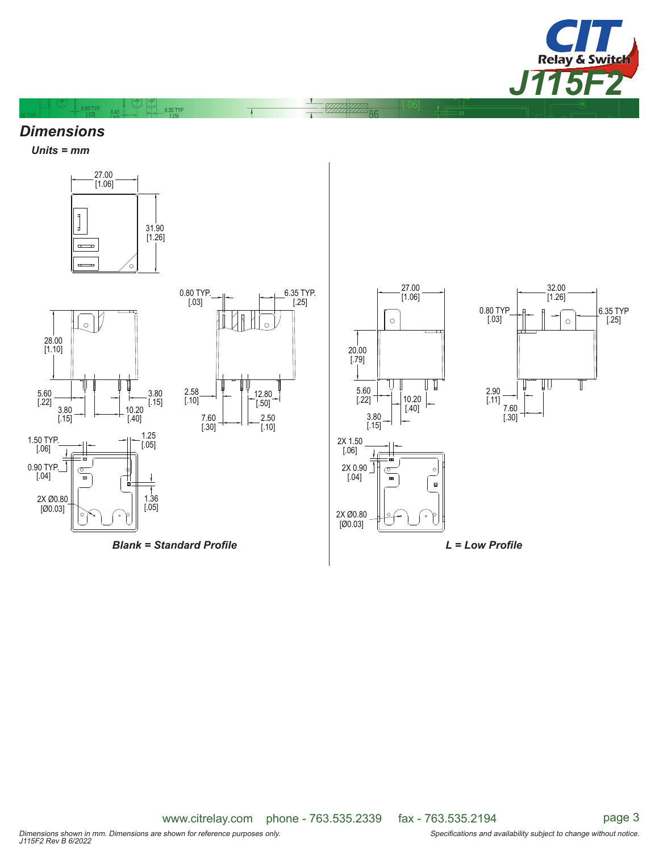

#### *Dimensions*

 $0.80$  TYP 8.40

*Units = mm*





*Blank* = Standard Profile **Example 20 and 20 and 20 and 20 and 20 and 20 and 20 and 20 and 20 and 20 and 20 and 20 and 20 and 20 and 20 and 20 and 20 and 20 and 20 and 20 and 20 and 20 and 20 and 20 and 20 and 20 and 20** 

7.60 [.30]

[.03]

 $-6.30$  TYP

2.58 [.10]

> 2.50 [.10]

12.80  $\overline{[.50]}$ 

 $\sqrt{2}$ 

6.35 TYP.  $[.25]$ 







www.citrelay.com phone - 763.535.2339 fax - 763.535.2194